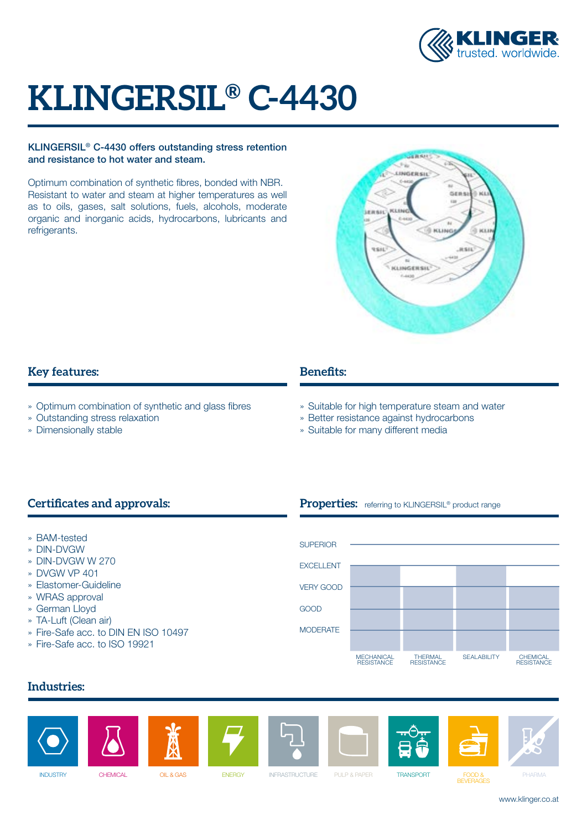

# **KLINGERSIL® C-4430**

### KLINGERSIL® C-4430 offers outstanding stress retention and resistance to hot water and steam.

Optimum combination of synthetic fibres, bonded with NBR. Resistant to water and steam at higher temperatures as well as to oils, gases, salt solutions, fuels, alcohols, moderate organic and inorganic acids, hydrocarbons, lubricants and refrigerants.



# **Key features:**

- » Optimum combination of synthetic and glass fibres
- » Outstanding stress relaxation
- » Dimensionally stable

# **Benefits:**

» Suitable for high temperature steam and water

Properties: referring to KLINGERSIL<sup>®</sup> product range

- » Better resistance against hydrocarbons
- » Suitable for many different media

# **Certificates and approvals:**

- » BAM-tested
- » DIN-DVGW
- » DIN-DVGW W 270
- » DVGW VP 401
- » Elastomer-Guideline
- » WRAS approval
- » German Lloyd
- » TA-Luft (Clean air)
- » Fire-Safe acc. to DIN EN ISO 10497
- » Fire-Safe acc. to ISO 19921



# **Industries:**